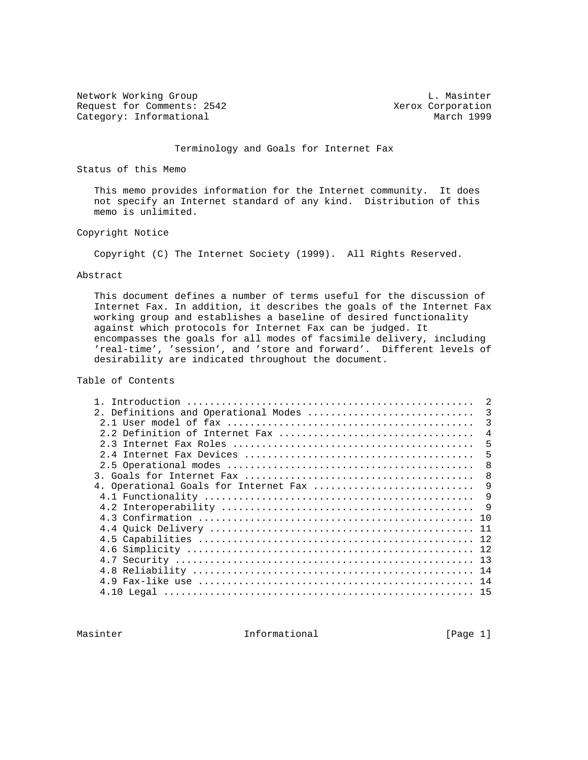Network Working Group and the contract of the contract of the L. Masinter Request for Comments: 2542 Xerox Corporation<br>
Category: Informational March 1999 Category: Informational

### Terminology and Goals for Internet Fax

Status of this Memo

 This memo provides information for the Internet community. It does not specify an Internet standard of any kind. Distribution of this memo is unlimited.

### Copyright Notice

Copyright (C) The Internet Society (1999). All Rights Reserved.

#### Abstract

 This document defines a number of terms useful for the discussion of Internet Fax. In addition, it describes the goals of the Internet Fax working group and establishes a baseline of desired functionality against which protocols for Internet Fax can be judged. It encompasses the goals for all modes of facsimile delivery, including 'real-time', 'session', and 'store and forward'. Different levels of desirability are indicated throughout the document.

Table of Contents

| 2. Definitions and Operational Modes  | 3              |
|---------------------------------------|----------------|
|                                       | 3              |
|                                       | $\overline{4}$ |
|                                       | 5              |
| 24                                    | 5              |
|                                       | 8              |
|                                       | 8              |
| 4. Operational Goals for Internet Fax | 9              |
|                                       | 9              |
|                                       | 9              |
|                                       | 1 O            |
|                                       | 11             |
|                                       | 12             |
|                                       |                |
| 4 7                                   | 13             |
|                                       | 14             |
|                                       | 14             |
|                                       | 15             |
|                                       |                |

Masinter 11 Informational 1999 [Page 1]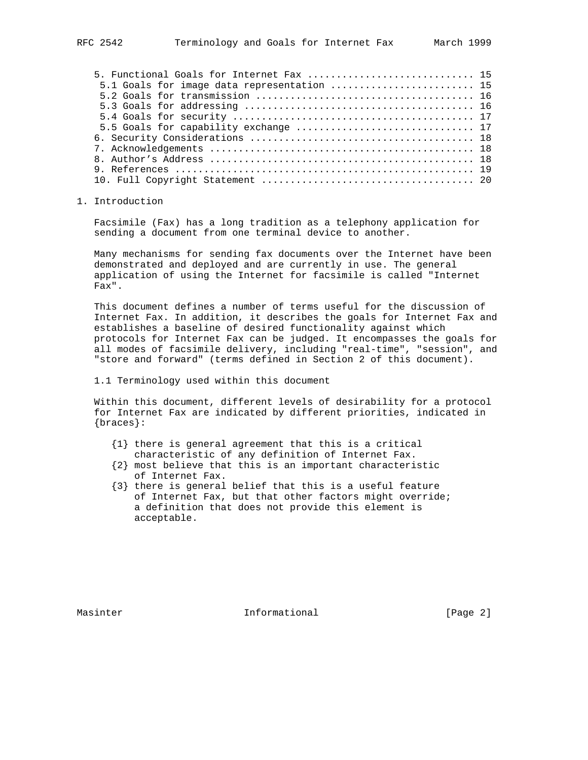| 5. Functional Goals for Internet Fax  15    |  |
|---------------------------------------------|--|
| 5.1 Goals for image data representation  15 |  |
|                                             |  |
|                                             |  |
|                                             |  |
|                                             |  |
|                                             |  |
|                                             |  |
|                                             |  |
|                                             |  |
|                                             |  |
|                                             |  |

# 1. Introduction

 Facsimile (Fax) has a long tradition as a telephony application for sending a document from one terminal device to another.

 Many mechanisms for sending fax documents over the Internet have been demonstrated and deployed and are currently in use. The general application of using the Internet for facsimile is called "Internet Fax".

 This document defines a number of terms useful for the discussion of Internet Fax. In addition, it describes the goals for Internet Fax and establishes a baseline of desired functionality against which protocols for Internet Fax can be judged. It encompasses the goals for all modes of facsimile delivery, including "real-time", "session", and "store and forward" (terms defined in Section 2 of this document).

1.1 Terminology used within this document

 Within this document, different levels of desirability for a protocol for Internet Fax are indicated by different priorities, indicated in {braces}:

- {1} there is general agreement that this is a critical characteristic of any definition of Internet Fax.
- {2} most believe that this is an important characteristic of Internet Fax.
- {3} there is general belief that this is a useful feature of Internet Fax, but that other factors might override; a definition that does not provide this element is acceptable.

Masinter 10 Informational 10 (Page 2)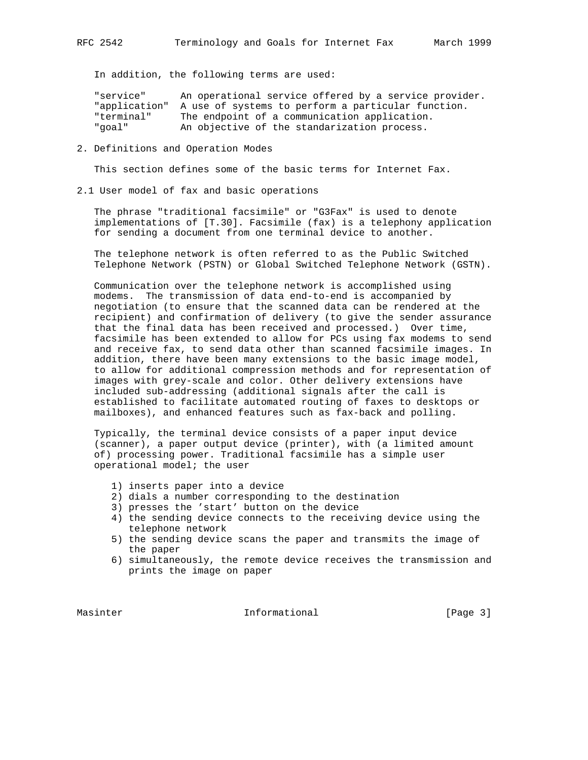In addition, the following terms are used:

 "service" An operational service offered by a service provider. "application" A use of systems to perform a particular function. "terminal" The endpoint of a communication application. "goal" An objective of the standarization process.

#### 2. Definitions and Operation Modes

This section defines some of the basic terms for Internet Fax.

2.1 User model of fax and basic operations

 The phrase "traditional facsimile" or "G3Fax" is used to denote implementations of [T.30]. Facsimile (fax) is a telephony application for sending a document from one terminal device to another.

 The telephone network is often referred to as the Public Switched Telephone Network (PSTN) or Global Switched Telephone Network (GSTN).

 Communication over the telephone network is accomplished using modems. The transmission of data end-to-end is accompanied by negotiation (to ensure that the scanned data can be rendered at the recipient) and confirmation of delivery (to give the sender assurance that the final data has been received and processed.) Over time, facsimile has been extended to allow for PCs using fax modems to send and receive fax, to send data other than scanned facsimile images. In addition, there have been many extensions to the basic image model, to allow for additional compression methods and for representation of images with grey-scale and color. Other delivery extensions have included sub-addressing (additional signals after the call is established to facilitate automated routing of faxes to desktops or mailboxes), and enhanced features such as fax-back and polling.

 Typically, the terminal device consists of a paper input device (scanner), a paper output device (printer), with (a limited amount of) processing power. Traditional facsimile has a simple user operational model; the user

- 1) inserts paper into a device
- 2) dials a number corresponding to the destination
- 3) presses the 'start' button on the device
- 4) the sending device connects to the receiving device using the telephone network
- 5) the sending device scans the paper and transmits the image of the paper
- 6) simultaneously, the remote device receives the transmission and prints the image on paper

Masinter 11 Informational 1996 [Page 3]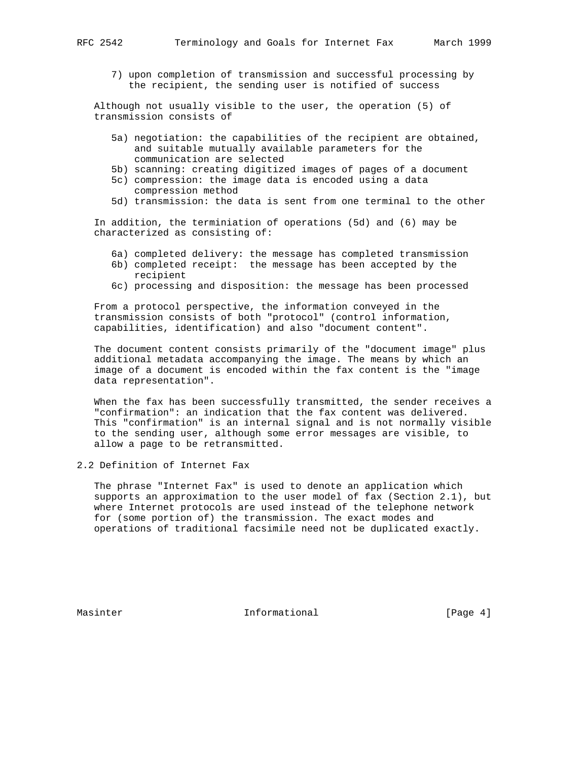7) upon completion of transmission and successful processing by the recipient, the sending user is notified of success

 Although not usually visible to the user, the operation (5) of transmission consists of

- 5a) negotiation: the capabilities of the recipient are obtained, and suitable mutually available parameters for the communication are selected
- 5b) scanning: creating digitized images of pages of a document
- 5c) compression: the image data is encoded using a data compression method
- 5d) transmission: the data is sent from one terminal to the other

 In addition, the terminiation of operations (5d) and (6) may be characterized as consisting of:

- 6a) completed delivery: the message has completed transmission
- 6b) completed receipt: the message has been accepted by the recipient
- 6c) processing and disposition: the message has been processed

 From a protocol perspective, the information conveyed in the transmission consists of both "protocol" (control information, capabilities, identification) and also "document content".

 The document content consists primarily of the "document image" plus additional metadata accompanying the image. The means by which an image of a document is encoded within the fax content is the "image data representation".

 When the fax has been successfully transmitted, the sender receives a "confirmation": an indication that the fax content was delivered. This "confirmation" is an internal signal and is not normally visible to the sending user, although some error messages are visible, to allow a page to be retransmitted.

2.2 Definition of Internet Fax

 The phrase "Internet Fax" is used to denote an application which supports an approximation to the user model of fax (Section 2.1), but where Internet protocols are used instead of the telephone network for (some portion of) the transmission. The exact modes and operations of traditional facsimile need not be duplicated exactly.

Masinter 11 Informational 11 (Page 4)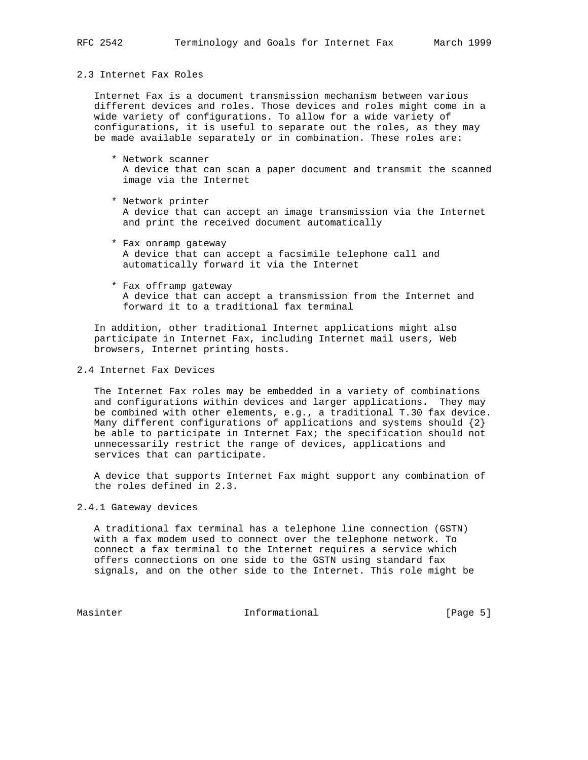# 2.3 Internet Fax Roles

 Internet Fax is a document transmission mechanism between various different devices and roles. Those devices and roles might come in a wide variety of configurations. To allow for a wide variety of configurations, it is useful to separate out the roles, as they may be made available separately or in combination. These roles are:

- \* Network scanner A device that can scan a paper document and transmit the scanned image via the Internet
- \* Network printer A device that can accept an image transmission via the Internet and print the received document automatically
- \* Fax onramp gateway A device that can accept a facsimile telephone call and automatically forward it via the Internet
- \* Fax offramp gateway A device that can accept a transmission from the Internet and forward it to a traditional fax terminal

 In addition, other traditional Internet applications might also participate in Internet Fax, including Internet mail users, Web browsers, Internet printing hosts.

2.4 Internet Fax Devices

 The Internet Fax roles may be embedded in a variety of combinations and configurations within devices and larger applications. They may be combined with other elements, e.g., a traditional T.30 fax device. Many different configurations of applications and systems should  $\{2\}$  be able to participate in Internet Fax; the specification should not unnecessarily restrict the range of devices, applications and services that can participate.

 A device that supports Internet Fax might support any combination of the roles defined in 2.3.

## 2.4.1 Gateway devices

 A traditional fax terminal has a telephone line connection (GSTN) with a fax modem used to connect over the telephone network. To connect a fax terminal to the Internet requires a service which offers connections on one side to the GSTN using standard fax signals, and on the other side to the Internet. This role might be

Masinter 11 Informational 1996 [Page 5]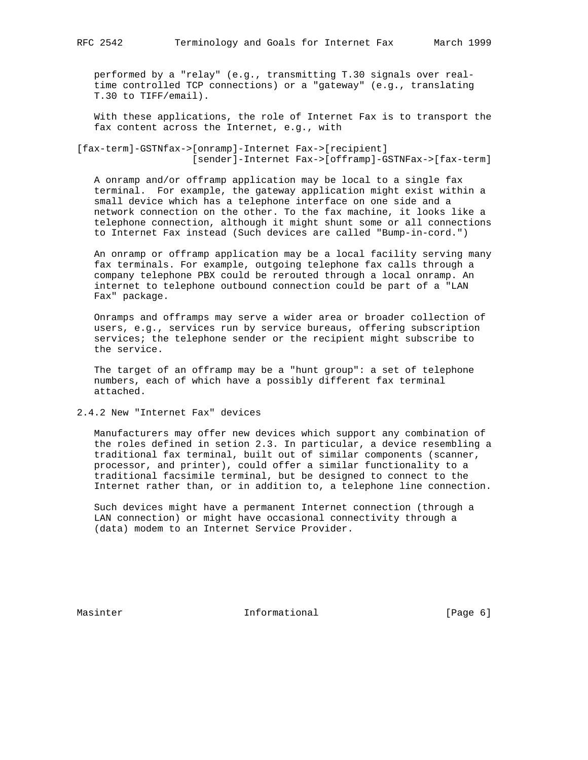performed by a "relay" (e.g., transmitting T.30 signals over real time controlled TCP connections) or a "gateway" (e.g., translating T.30 to TIFF/email).

 With these applications, the role of Internet Fax is to transport the fax content across the Internet, e.g., with

[fax-term]-GSTNfax->[onramp]-Internet Fax->[recipient] [sender]-Internet Fax->[offramp]-GSTNFax->[fax-term]

 A onramp and/or offramp application may be local to a single fax terminal. For example, the gateway application might exist within a small device which has a telephone interface on one side and a network connection on the other. To the fax machine, it looks like a telephone connection, although it might shunt some or all connections to Internet Fax instead (Such devices are called "Bump-in-cord.")

 An onramp or offramp application may be a local facility serving many fax terminals. For example, outgoing telephone fax calls through a company telephone PBX could be rerouted through a local onramp. An internet to telephone outbound connection could be part of a "LAN Fax" package.

 Onramps and offramps may serve a wider area or broader collection of users, e.g., services run by service bureaus, offering subscription services; the telephone sender or the recipient might subscribe to the service.

 The target of an offramp may be a "hunt group": a set of telephone numbers, each of which have a possibly different fax terminal attached.

2.4.2 New "Internet Fax" devices

 Manufacturers may offer new devices which support any combination of the roles defined in setion 2.3. In particular, a device resembling a traditional fax terminal, built out of similar components (scanner, processor, and printer), could offer a similar functionality to a traditional facsimile terminal, but be designed to connect to the Internet rather than, or in addition to, a telephone line connection.

 Such devices might have a permanent Internet connection (through a LAN connection) or might have occasional connectivity through a (data) modem to an Internet Service Provider.

Masinter 10 Informational 10 (Page 6)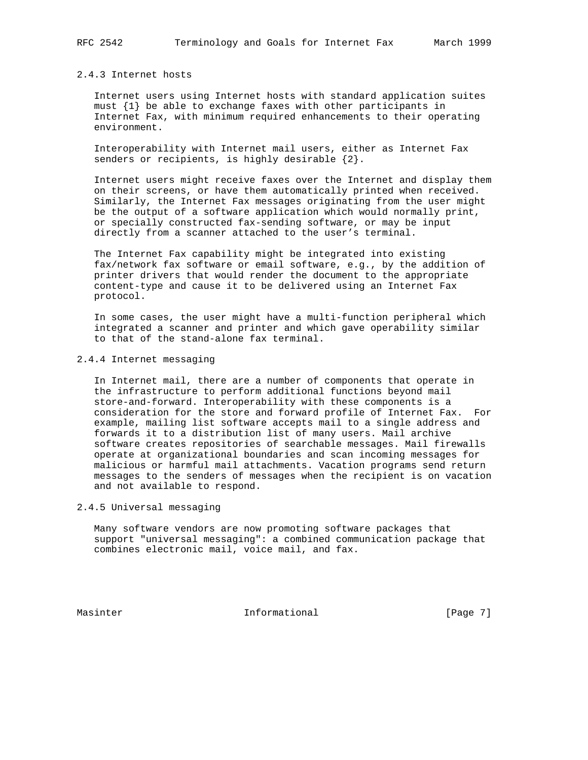#### 2.4.3 Internet hosts

 Internet users using Internet hosts with standard application suites must {1} be able to exchange faxes with other participants in Internet Fax, with minimum required enhancements to their operating environment.

 Interoperability with Internet mail users, either as Internet Fax senders or recipients, is highly desirable  $\{2\}$ .

 Internet users might receive faxes over the Internet and display them on their screens, or have them automatically printed when received. Similarly, the Internet Fax messages originating from the user might be the output of a software application which would normally print, or specially constructed fax-sending software, or may be input directly from a scanner attached to the user's terminal.

 The Internet Fax capability might be integrated into existing fax/network fax software or email software, e.g., by the addition of printer drivers that would render the document to the appropriate content-type and cause it to be delivered using an Internet Fax protocol.

 In some cases, the user might have a multi-function peripheral which integrated a scanner and printer and which gave operability similar to that of the stand-alone fax terminal.

### 2.4.4 Internet messaging

 In Internet mail, there are a number of components that operate in the infrastructure to perform additional functions beyond mail store-and-forward. Interoperability with these components is a consideration for the store and forward profile of Internet Fax. For example, mailing list software accepts mail to a single address and forwards it to a distribution list of many users. Mail archive software creates repositories of searchable messages. Mail firewalls operate at organizational boundaries and scan incoming messages for malicious or harmful mail attachments. Vacation programs send return messages to the senders of messages when the recipient is on vacation and not available to respond.

### 2.4.5 Universal messaging

 Many software vendors are now promoting software packages that support "universal messaging": a combined communication package that combines electronic mail, voice mail, and fax.

Masinter 11 Informational 1999 [Page 7]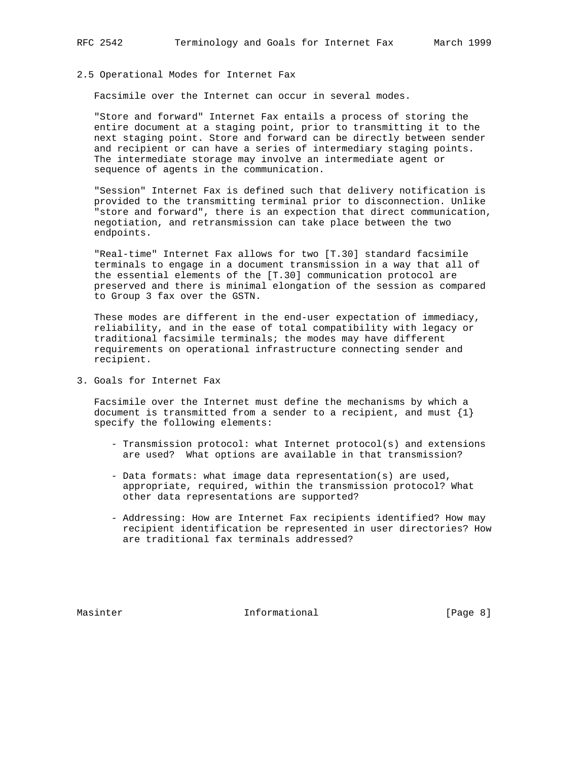Facsimile over the Internet can occur in several modes.

 "Store and forward" Internet Fax entails a process of storing the entire document at a staging point, prior to transmitting it to the next staging point. Store and forward can be directly between sender and recipient or can have a series of intermediary staging points. The intermediate storage may involve an intermediate agent or sequence of agents in the communication.

 "Session" Internet Fax is defined such that delivery notification is provided to the transmitting terminal prior to disconnection. Unlike "store and forward", there is an expection that direct communication, negotiation, and retransmission can take place between the two endpoints.

 "Real-time" Internet Fax allows for two [T.30] standard facsimile terminals to engage in a document transmission in a way that all of the essential elements of the [T.30] communication protocol are preserved and there is minimal elongation of the session as compared to Group 3 fax over the GSTN.

 These modes are different in the end-user expectation of immediacy, reliability, and in the ease of total compatibility with legacy or traditional facsimile terminals; the modes may have different requirements on operational infrastructure connecting sender and recipient.

3. Goals for Internet Fax

 Facsimile over the Internet must define the mechanisms by which a document is transmitted from a sender to a recipient, and must  $\{1\}$ specify the following elements:

- Transmission protocol: what Internet protocol(s) and extensions are used? What options are available in that transmission?
- Data formats: what image data representation(s) are used, appropriate, required, within the transmission protocol? What other data representations are supported?
- Addressing: How are Internet Fax recipients identified? How may recipient identification be represented in user directories? How are traditional fax terminals addressed?

Masinter 10 Informational 10 (Page 8)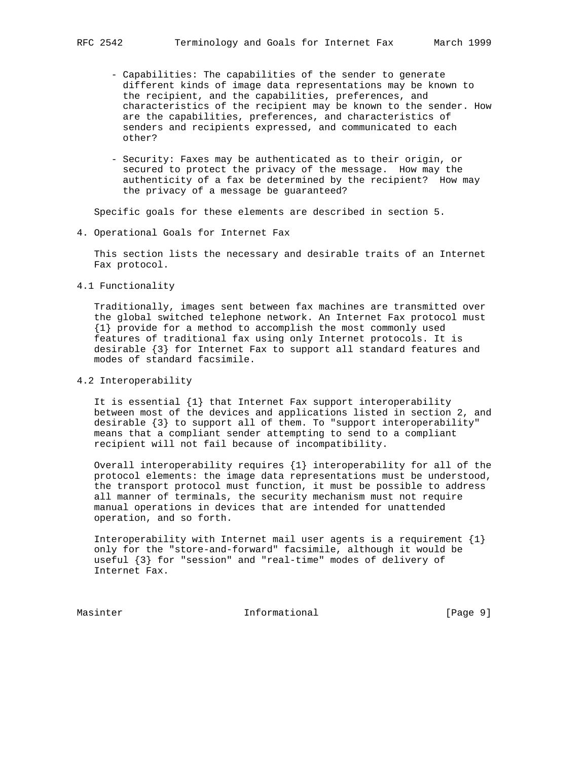- Capabilities: The capabilities of the sender to generate different kinds of image data representations may be known to the recipient, and the capabilities, preferences, and characteristics of the recipient may be known to the sender. How are the capabilities, preferences, and characteristics of senders and recipients expressed, and communicated to each other?
- Security: Faxes may be authenticated as to their origin, or secured to protect the privacy of the message. How may the authenticity of a fax be determined by the recipient? How may the privacy of a message be guaranteed?

Specific goals for these elements are described in section 5.

4. Operational Goals for Internet Fax

 This section lists the necessary and desirable traits of an Internet Fax protocol.

4.1 Functionality

 Traditionally, images sent between fax machines are transmitted over the global switched telephone network. An Internet Fax protocol must {1} provide for a method to accomplish the most commonly used features of traditional fax using only Internet protocols. It is desirable {3} for Internet Fax to support all standard features and modes of standard facsimile.

4.2 Interoperability

 It is essential {1} that Internet Fax support interoperability between most of the devices and applications listed in section 2, and desirable {3} to support all of them. To "support interoperability" means that a compliant sender attempting to send to a compliant recipient will not fail because of incompatibility.

 Overall interoperability requires {1} interoperability for all of the protocol elements: the image data representations must be understood, the transport protocol must function, it must be possible to address all manner of terminals, the security mechanism must not require manual operations in devices that are intended for unattended operation, and so forth.

Interoperability with Internet mail user agents is a requirement  $\{1\}$  only for the "store-and-forward" facsimile, although it would be useful {3} for "session" and "real-time" modes of delivery of Internet Fax.

Masinter 11 Informational 1999 [Page 9]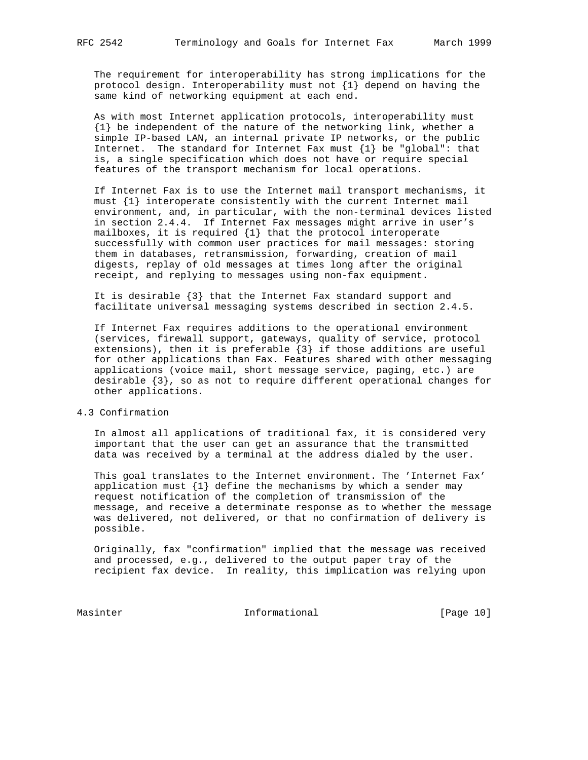The requirement for interoperability has strong implications for the protocol design. Interoperability must not  $\{1\}$  depend on having the same kind of networking equipment at each end.

 As with most Internet application protocols, interoperability must {1} be independent of the nature of the networking link, whether a simple IP-based LAN, an internal private IP networks, or the public Internet. The standard for Internet Fax must  $\{1\}$  be "global": that is, a single specification which does not have or require special features of the transport mechanism for local operations.

 If Internet Fax is to use the Internet mail transport mechanisms, it must {1} interoperate consistently with the current Internet mail environment, and, in particular, with the non-terminal devices listed in section 2.4.4. If Internet Fax messages might arrive in user's mailboxes, it is required {1} that the protocol interoperate successfully with common user practices for mail messages: storing them in databases, retransmission, forwarding, creation of mail digests, replay of old messages at times long after the original receipt, and replying to messages using non-fax equipment.

 It is desirable {3} that the Internet Fax standard support and facilitate universal messaging systems described in section 2.4.5.

 If Internet Fax requires additions to the operational environment (services, firewall support, gateways, quality of service, protocol extensions), then it is preferable {3} if those additions are useful for other applications than Fax. Features shared with other messaging applications (voice mail, short message service, paging, etc.) are desirable {3}, so as not to require different operational changes for other applications.

### 4.3 Confirmation

 In almost all applications of traditional fax, it is considered very important that the user can get an assurance that the transmitted data was received by a terminal at the address dialed by the user.

 This goal translates to the Internet environment. The 'Internet Fax' application must  $\{1\}$  define the mechanisms by which a sender may request notification of the completion of transmission of the message, and receive a determinate response as to whether the message was delivered, not delivered, or that no confirmation of delivery is possible.

 Originally, fax "confirmation" implied that the message was received and processed, e.g., delivered to the output paper tray of the recipient fax device. In reality, this implication was relying upon

Masinter Informational [Page 10]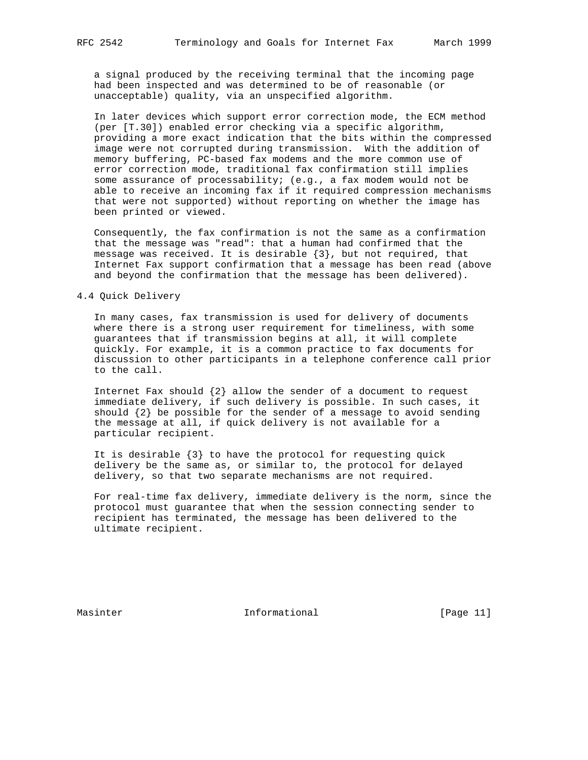a signal produced by the receiving terminal that the incoming page had been inspected and was determined to be of reasonable (or unacceptable) quality, via an unspecified algorithm.

 In later devices which support error correction mode, the ECM method (per [T.30]) enabled error checking via a specific algorithm, providing a more exact indication that the bits within the compressed image were not corrupted during transmission. With the addition of memory buffering, PC-based fax modems and the more common use of error correction mode, traditional fax confirmation still implies some assurance of processability; (e.g., a fax modem would not be able to receive an incoming fax if it required compression mechanisms that were not supported) without reporting on whether the image has been printed or viewed.

 Consequently, the fax confirmation is not the same as a confirmation that the message was "read": that a human had confirmed that the message was received. It is desirable  $\{3\}$ , but not required, that Internet Fax support confirmation that a message has been read (above and beyond the confirmation that the message has been delivered).

### 4.4 Quick Delivery

 In many cases, fax transmission is used for delivery of documents where there is a strong user requirement for timeliness, with some guarantees that if transmission begins at all, it will complete quickly. For example, it is a common practice to fax documents for discussion to other participants in a telephone conference call prior to the call.

Internet Fax should  $\{2\}$  allow the sender of a document to request immediate delivery, if such delivery is possible. In such cases, it should  $\{2\}$  be possible for the sender of a message to avoid sending the message at all, if quick delivery is not available for a particular recipient.

 It is desirable {3} to have the protocol for requesting quick delivery be the same as, or similar to, the protocol for delayed delivery, so that two separate mechanisms are not required.

 For real-time fax delivery, immediate delivery is the norm, since the protocol must guarantee that when the session connecting sender to recipient has terminated, the message has been delivered to the ultimate recipient.

Masinter 11 Informational [Page 11]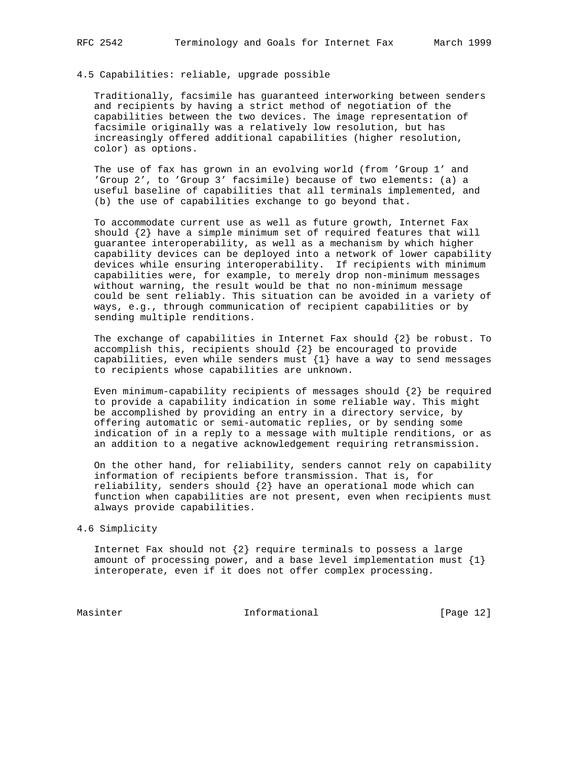#### 4.5 Capabilities: reliable, upgrade possible

 Traditionally, facsimile has guaranteed interworking between senders and recipients by having a strict method of negotiation of the capabilities between the two devices. The image representation of facsimile originally was a relatively low resolution, but has increasingly offered additional capabilities (higher resolution, color) as options.

 The use of fax has grown in an evolving world (from 'Group 1' and 'Group 2', to 'Group 3' facsimile) because of two elements: (a) a useful baseline of capabilities that all terminals implemented, and (b) the use of capabilities exchange to go beyond that.

 To accommodate current use as well as future growth, Internet Fax should {2} have a simple minimum set of required features that will guarantee interoperability, as well as a mechanism by which higher capability devices can be deployed into a network of lower capability devices while ensuring interoperability. If recipients with minimum capabilities were, for example, to merely drop non-minimum messages without warning, the result would be that no non-minimum message could be sent reliably. This situation can be avoided in a variety of ways, e.g., through communication of recipient capabilities or by sending multiple renditions.

The exchange of capabilities in Internet Fax should  $\{2\}$  be robust. To accomplish this, recipients should  $\{2\}$  be encouraged to provide capabilities, even while senders must  $\{1\}$  have a way to send messages to recipients whose capabilities are unknown.

 Even minimum-capability recipients of messages should {2} be required to provide a capability indication in some reliable way. This might be accomplished by providing an entry in a directory service, by offering automatic or semi-automatic replies, or by sending some indication of in a reply to a message with multiple renditions, or as an addition to a negative acknowledgement requiring retransmission.

 On the other hand, for reliability, senders cannot rely on capability information of recipients before transmission. That is, for reliability, senders should {2} have an operational mode which can function when capabilities are not present, even when recipients must always provide capabilities.

#### 4.6 Simplicity

Internet Fax should not  $\{2\}$  require terminals to possess a large amount of processing power, and a base level implementation must  $\{1\}$ interoperate, even if it does not offer complex processing.

Masinter Informational [Page 12]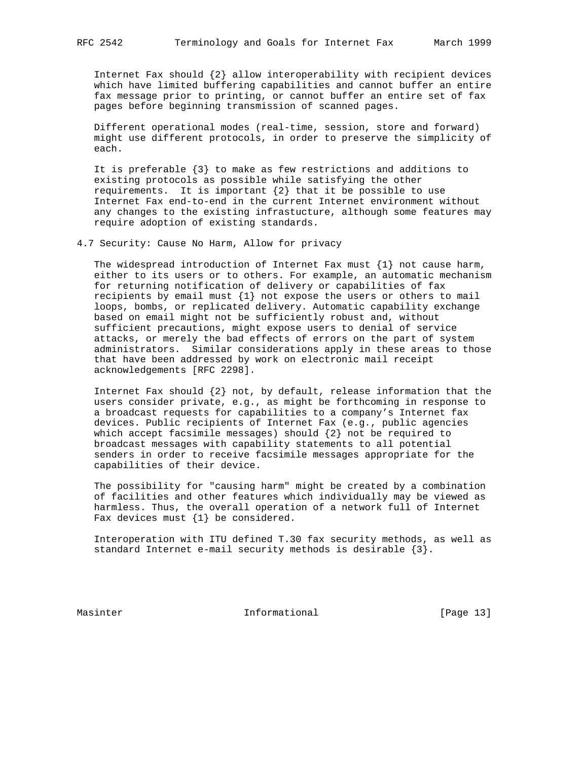Internet Fax should {2} allow interoperability with recipient devices which have limited buffering capabilities and cannot buffer an entire fax message prior to printing, or cannot buffer an entire set of fax pages before beginning transmission of scanned pages.

 Different operational modes (real-time, session, store and forward) might use different protocols, in order to preserve the simplicity of each.

 It is preferable {3} to make as few restrictions and additions to existing protocols as possible while satisfying the other requirements. It is important  $\{2\}$  that it be possible to use Internet Fax end-to-end in the current Internet environment without any changes to the existing infrastucture, although some features may require adoption of existing standards.

4.7 Security: Cause No Harm, Allow for privacy

The widespread introduction of Internet Fax must  $\{1\}$  not cause harm, either to its users or to others. For example, an automatic mechanism for returning notification of delivery or capabilities of fax recipients by email must {1} not expose the users or others to mail loops, bombs, or replicated delivery. Automatic capability exchange based on email might not be sufficiently robust and, without sufficient precautions, might expose users to denial of service attacks, or merely the bad effects of errors on the part of system administrators. Similar considerations apply in these areas to those that have been addressed by work on electronic mail receipt acknowledgements [RFC 2298].

Internet Fax should  $\{2\}$  not, by default, release information that the users consider private, e.g., as might be forthcoming in response to a broadcast requests for capabilities to a company's Internet fax devices. Public recipients of Internet Fax (e.g., public agencies which accept facsimile messages) should {2} not be required to broadcast messages with capability statements to all potential senders in order to receive facsimile messages appropriate for the capabilities of their device.

 The possibility for "causing harm" might be created by a combination of facilities and other features which individually may be viewed as harmless. Thus, the overall operation of a network full of Internet Fax devices must  $\{1\}$  be considered.

 Interoperation with ITU defined T.30 fax security methods, as well as standard Internet e-mail security methods is desirable  $\{3\}$ .

Masinter 11 Informational [Page 13]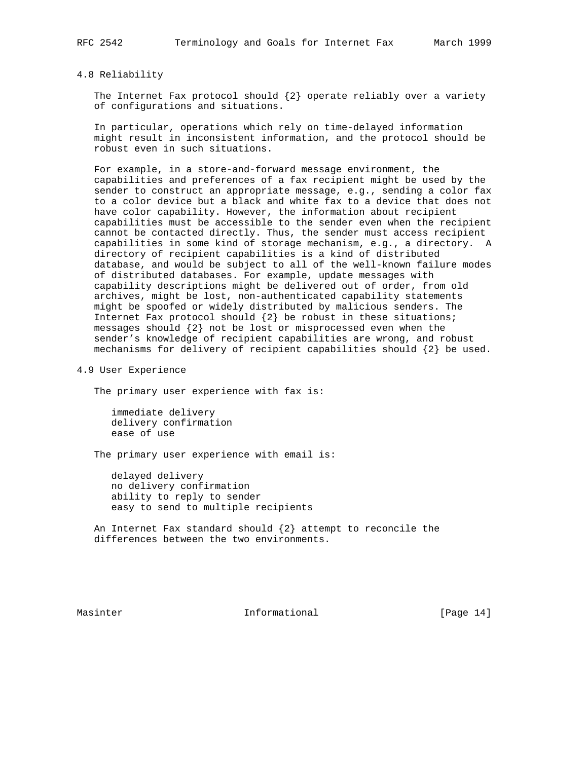#### 4.8 Reliability

The Internet Fax protocol should  $\{2\}$  operate reliably over a variety of configurations and situations.

 In particular, operations which rely on time-delayed information might result in inconsistent information, and the protocol should be robust even in such situations.

 For example, in a store-and-forward message environment, the capabilities and preferences of a fax recipient might be used by the sender to construct an appropriate message, e.g., sending a color fax to a color device but a black and white fax to a device that does not have color capability. However, the information about recipient capabilities must be accessible to the sender even when the recipient cannot be contacted directly. Thus, the sender must access recipient capabilities in some kind of storage mechanism, e.g., a directory. A directory of recipient capabilities is a kind of distributed database, and would be subject to all of the well-known failure modes of distributed databases. For example, update messages with capability descriptions might be delivered out of order, from old archives, might be lost, non-authenticated capability statements might be spoofed or widely distributed by malicious senders. The Internet Fax protocol should  $\{2\}$  be robust in these situations; messages should {2} not be lost or misprocessed even when the sender's knowledge of recipient capabilities are wrong, and robust mechanisms for delivery of recipient capabilities should {2} be used.

4.9 User Experience

The primary user experience with fax is:

 immediate delivery delivery confirmation ease of use

The primary user experience with email is:

 delayed delivery no delivery confirmation ability to reply to sender easy to send to multiple recipients

An Internet Fax standard should  $\{2\}$  attempt to reconcile the differences between the two environments.

Masinter 1. Informational 1. The Informational Theory is not in the late of  $[Page 14]$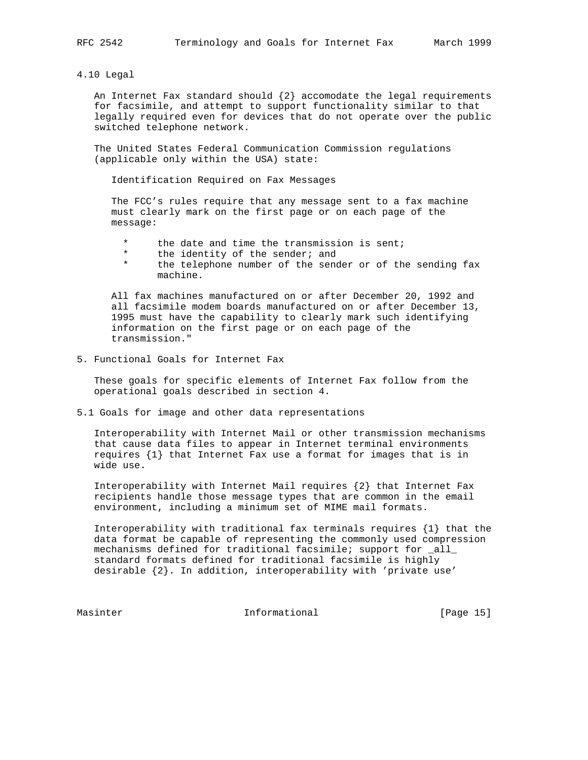4.10 Legal

An Internet Fax standard should  $\{2\}$  accomodate the legal requirements for facsimile, and attempt to support functionality similar to that legally required even for devices that do not operate over the public switched telephone network.

 The United States Federal Communication Commission regulations (applicable only within the USA) state:

Identification Required on Fax Messages

The FCC's rules require that any message sent to a fax machine must clearly mark on the first page or on each page of the message:

- the date and time the transmission is sent;
- \* the identity of the sender; and
- the telephone number of the sender or of the sending fax machine.

 All fax machines manufactured on or after December 20, 1992 and all facsimile modem boards manufactured on or after December 13, 1995 must have the capability to clearly mark such identifying information on the first page or on each page of the transmission."

5. Functional Goals for Internet Fax

 These goals for specific elements of Internet Fax follow from the operational goals described in section 4.

5.1 Goals for image and other data representations

 Interoperability with Internet Mail or other transmission mechanisms that cause data files to appear in Internet terminal environments requires {1} that Internet Fax use a format for images that is in wide use.

 Interoperability with Internet Mail requires {2} that Internet Fax recipients handle those message types that are common in the email environment, including a minimum set of MIME mail formats.

 Interoperability with traditional fax terminals requires {1} that the data format be capable of representing the commonly used compression mechanisms defined for traditional facsimile; support for \_all\_ standard formats defined for traditional facsimile is highly desirable {2}. In addition, interoperability with 'private use'

Masinter 10 1nformational 10 Page 15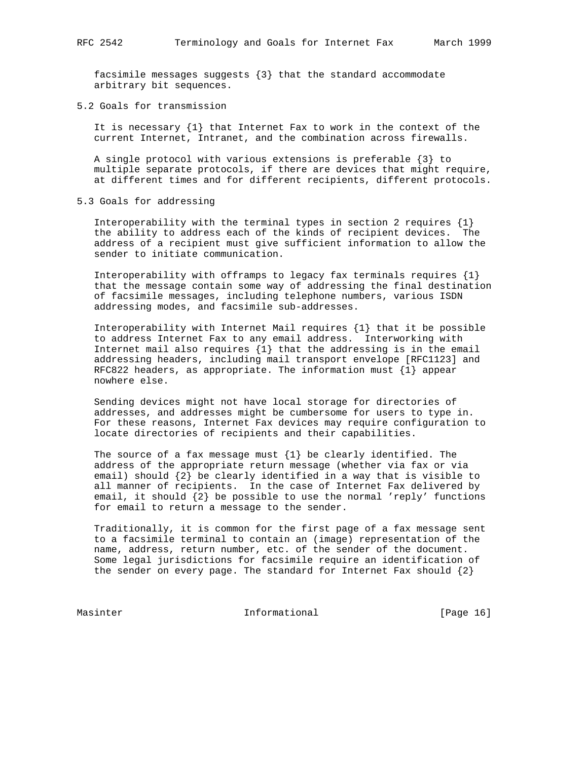facsimile messages suggests {3} that the standard accommodate arbitrary bit sequences.

5.2 Goals for transmission

 It is necessary {1} that Internet Fax to work in the context of the current Internet, Intranet, and the combination across firewalls.

 A single protocol with various extensions is preferable {3} to multiple separate protocols, if there are devices that might require, at different times and for different recipients, different protocols.

5.3 Goals for addressing

Interoperability with the terminal types in section 2 requires  $\{1\}$  the ability to address each of the kinds of recipient devices. The address of a recipient must give sufficient information to allow the sender to initiate communication.

Interoperability with offramps to legacy fax terminals requires  $\{1\}$  that the message contain some way of addressing the final destination of facsimile messages, including telephone numbers, various ISDN addressing modes, and facsimile sub-addresses.

 Interoperability with Internet Mail requires {1} that it be possible to address Internet Fax to any email address. Interworking with Internet mail also requires {1} that the addressing is in the email addressing headers, including mail transport envelope [RFC1123] and RFC822 headers, as appropriate. The information must {1} appear nowhere else.

 Sending devices might not have local storage for directories of addresses, and addresses might be cumbersome for users to type in. For these reasons, Internet Fax devices may require configuration to locate directories of recipients and their capabilities.

The source of a fax message must  $\{1\}$  be clearly identified. The address of the appropriate return message (whether via fax or via email) should {2} be clearly identified in a way that is visible to all manner of recipients. In the case of Internet Fax delivered by email, it should {2} be possible to use the normal 'reply' functions for email to return a message to the sender.

 Traditionally, it is common for the first page of a fax message sent to a facsimile terminal to contain an (image) representation of the name, address, return number, etc. of the sender of the document. Some legal jurisdictions for facsimile require an identification of the sender on every page. The standard for Internet Fax should  $\{2\}$ 

Masinter 16 Informational 1999 [Page 16]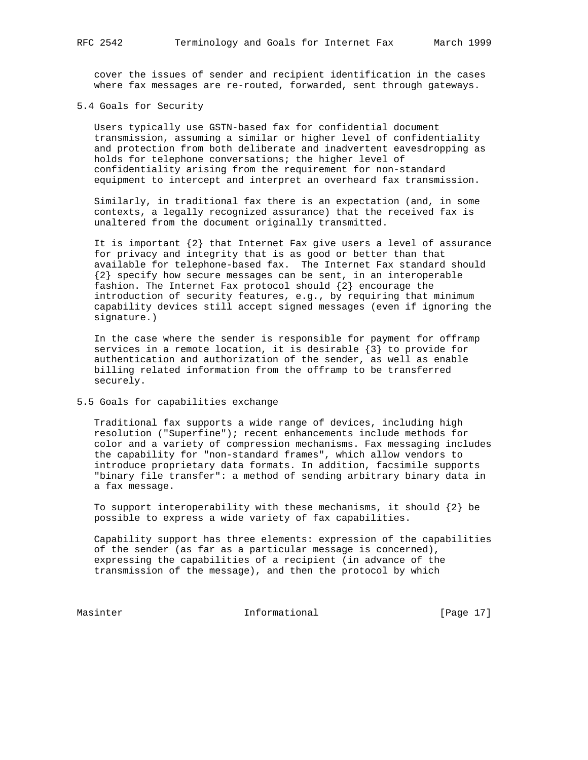cover the issues of sender and recipient identification in the cases where fax messages are re-routed, forwarded, sent through gateways.

#### 5.4 Goals for Security

 Users typically use GSTN-based fax for confidential document transmission, assuming a similar or higher level of confidentiality and protection from both deliberate and inadvertent eavesdropping as holds for telephone conversations; the higher level of confidentiality arising from the requirement for non-standard equipment to intercept and interpret an overheard fax transmission.

 Similarly, in traditional fax there is an expectation (and, in some contexts, a legally recognized assurance) that the received fax is unaltered from the document originally transmitted.

 It is important {2} that Internet Fax give users a level of assurance for privacy and integrity that is as good or better than that available for telephone-based fax. The Internet Fax standard should {2} specify how secure messages can be sent, in an interoperable fashion. The Internet Fax protocol should  $\{2\}$  encourage the introduction of security features, e.g., by requiring that minimum capability devices still accept signed messages (even if ignoring the signature.)

 In the case where the sender is responsible for payment for offramp services in a remote location, it is desirable {3} to provide for authentication and authorization of the sender, as well as enable billing related information from the offramp to be transferred securely.

### 5.5 Goals for capabilities exchange

 Traditional fax supports a wide range of devices, including high resolution ("Superfine"); recent enhancements include methods for color and a variety of compression mechanisms. Fax messaging includes the capability for "non-standard frames", which allow vendors to introduce proprietary data formats. In addition, facsimile supports "binary file transfer": a method of sending arbitrary binary data in a fax message.

To support interoperability with these mechanisms, it should  $\{2\}$  be possible to express a wide variety of fax capabilities.

 Capability support has three elements: expression of the capabilities of the sender (as far as a particular message is concerned), expressing the capabilities of a recipient (in advance of the transmission of the message), and then the protocol by which

Masinter 17 Informational 1999 [Page 17]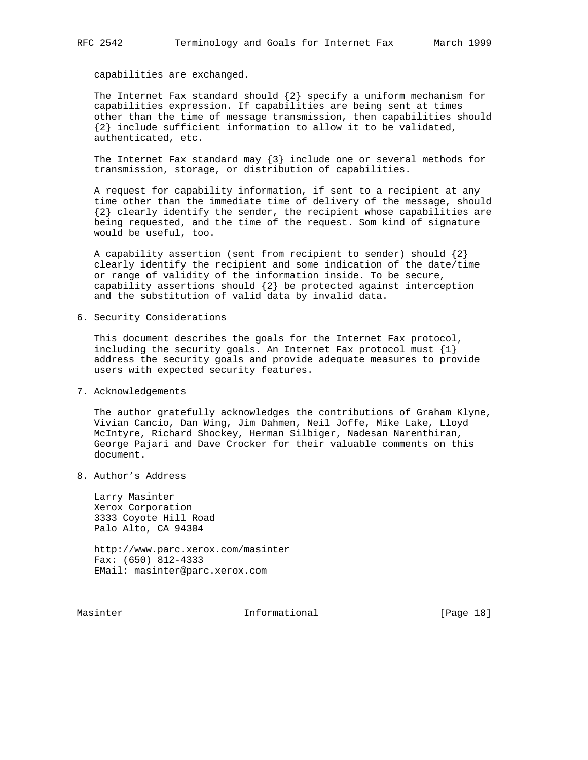capabilities are exchanged.

The Internet Fax standard should  $\{2\}$  specify a uniform mechanism for capabilities expression. If capabilities are being sent at times other than the time of message transmission, then capabilities should {2} include sufficient information to allow it to be validated, authenticated, etc.

 The Internet Fax standard may {3} include one or several methods for transmission, storage, or distribution of capabilities.

 A request for capability information, if sent to a recipient at any time other than the immediate time of delivery of the message, should {2} clearly identify the sender, the recipient whose capabilities are being requested, and the time of the request. Som kind of signature would be useful, too.

A capability assertion (sent from recipient to sender) should  $\{2\}$  clearly identify the recipient and some indication of the date/time or range of validity of the information inside. To be secure, capability assertions should  $\{2\}$  be protected against interception and the substitution of valid data by invalid data.

6. Security Considerations

 This document describes the goals for the Internet Fax protocol, including the security goals. An Internet Fax protocol must  $\{1\}$  address the security goals and provide adequate measures to provide users with expected security features.

7. Acknowledgements

 The author gratefully acknowledges the contributions of Graham Klyne, Vivian Cancio, Dan Wing, Jim Dahmen, Neil Joffe, Mike Lake, Lloyd McIntyre, Richard Shockey, Herman Silbiger, Nadesan Narenthiran, George Pajari and Dave Crocker for their valuable comments on this document.

8. Author's Address

 Larry Masinter Xerox Corporation 3333 Coyote Hill Road Palo Alto, CA 94304

 http://www.parc.xerox.com/masinter Fax: (650) 812-4333 EMail: masinter@parc.xerox.com

Masinter 10 Informational 10 Page 18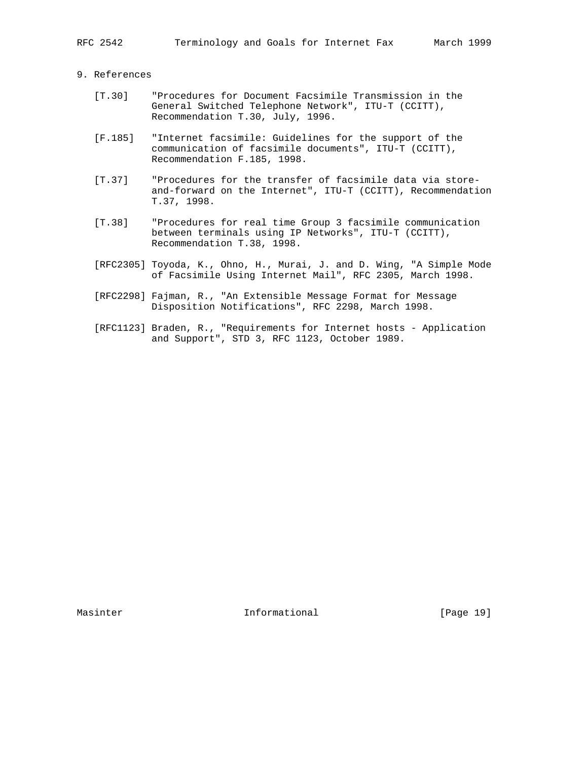# 9. References

- [T.30] "Procedures for Document Facsimile Transmission in the General Switched Telephone Network", ITU-T (CCITT), Recommendation T.30, July, 1996.
- [F.185] "Internet facsimile: Guidelines for the support of the communication of facsimile documents", ITU-T (CCITT), Recommendation F.185, 1998.
- [T.37] "Procedures for the transfer of facsimile data via store and-forward on the Internet", ITU-T (CCITT), Recommendation T.37, 1998.
- [T.38] "Procedures for real time Group 3 facsimile communication between terminals using IP Networks", ITU-T (CCITT), Recommendation T.38, 1998.
- [RFC2305] Toyoda, K., Ohno, H., Murai, J. and D. Wing, "A Simple Mode of Facsimile Using Internet Mail", RFC 2305, March 1998.
- [RFC2298] Fajman, R., "An Extensible Message Format for Message Disposition Notifications", RFC 2298, March 1998.
- [RFC1123] Braden, R., "Requirements for Internet hosts Application and Support", STD 3, RFC 1123, October 1989.

Masinter 10 Informational Theory Informational [Page 19]